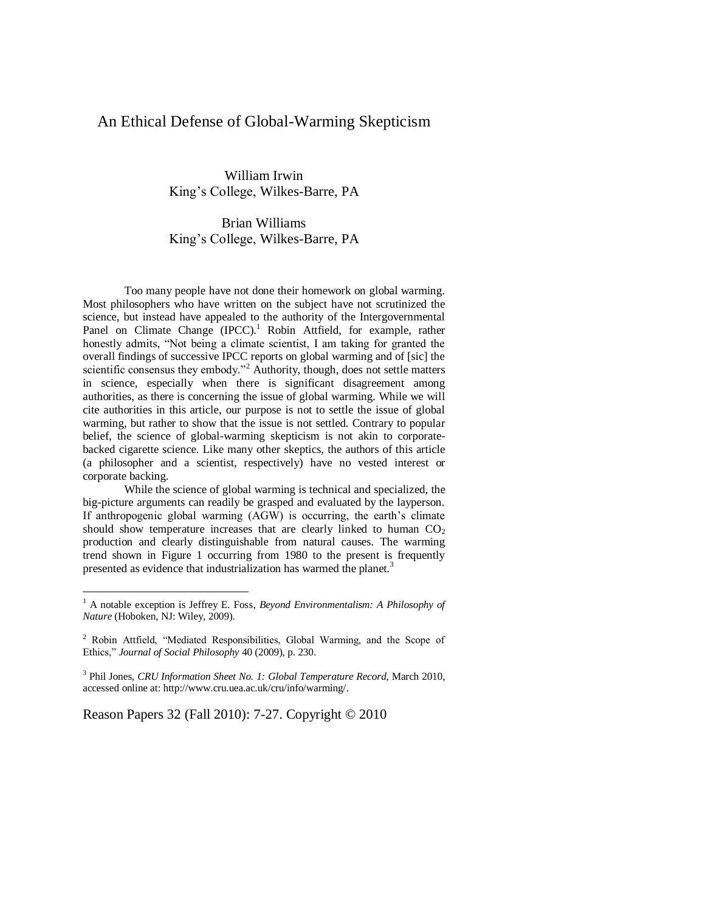# An Ethical Defense of Global-Warming Skepticism

William Irwin King's College, Wilkes-Barre, PA

## Brian Williams King's College, Wilkes-Barre, PA

Too many people have not done their homework on global warming. Most philosophers who have written on the subject have not scrutinized the science, but instead have appealed to the authority of the Intergovernmental Panel on Climate Change (IPCC).<sup>1</sup> Robin Attfield, for example, rather honestly admits, "Not being a climate scientist, I am taking for granted the overall findings of successive IPCC reports on global warming and of [sic] the scientific consensus they embody."<sup>2</sup> Authority, though, does not settle matters in science, especially when there is significant disagreement among authorities, as there is concerning the issue of global warming. While we will cite authorities in this article, our purpose is not to settle the issue of global warming, but rather to show that the issue is not settled. Contrary to popular belief, the science of global-warming skepticism is not akin to corporatebacked cigarette science. Like many other skeptics, the authors of this article (a philosopher and a scientist, respectively) have no vested interest or corporate backing.

While the science of global warming is technical and specialized, the big-picture arguments can readily be grasped and evaluated by the layperson. If anthropogenic global warming (AGW) is occurring, the earth's climate should show temperature increases that are clearly linked to human  $CO<sub>2</sub>$ production and clearly distinguishable from natural causes. The warming trend shown in Figure 1 occurring from 1980 to the present is frequently presented as evidence that industrialization has warmed the planet.<sup>3</sup>

Reason Papers 32 (Fall 2010): 7-27. Copyright © 2010

<sup>1</sup> A notable exception is Jeffrey E. Foss, *Beyond Environmentalism: A Philosophy of Nature* (Hoboken, NJ: Wiley, 2009).

<sup>&</sup>lt;sup>2</sup> Robin Attfield, "Mediated Responsibilities, Global Warming, and the Scope of Ethics,‖ *Journal of Social Philosophy* 40 (2009), p. 230.

<sup>3</sup> Phil Jones, *CRU Information Sheet No. 1: Global Temperature Record*, March 2010, accessed online at[: http://www.cru.uea.ac.uk/cru/info/warming/.](http://www.cru.uea.ac.uk/cru/info/warming/)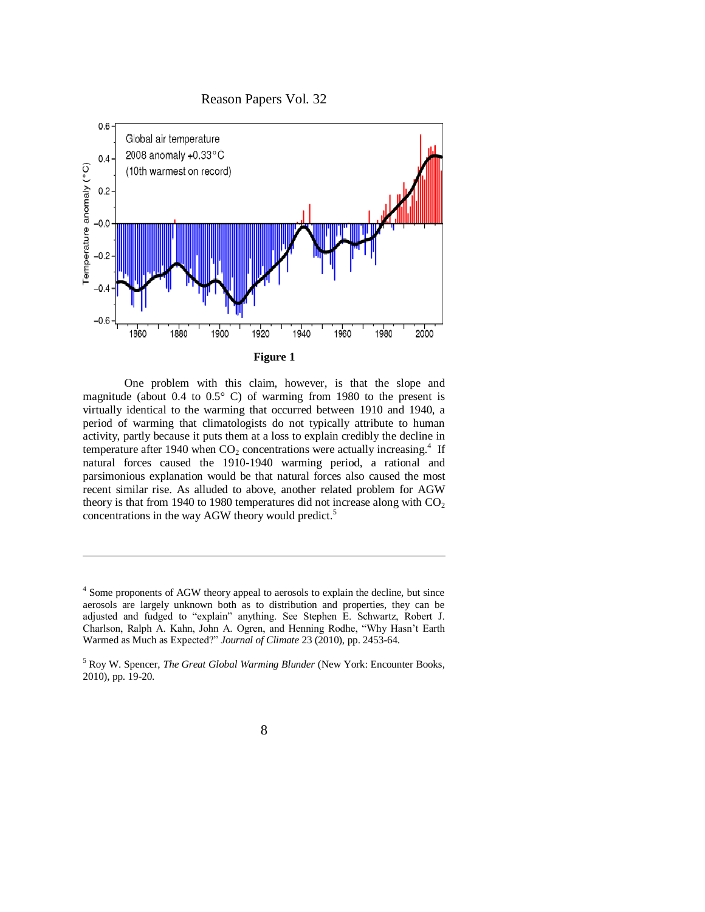

One problem with this claim, however, is that the slope and magnitude (about 0.4 to  $0.5^{\circ}$  C) of warming from 1980 to the present is virtually identical to the warming that occurred between 1910 and 1940, a period of warming that climatologists do not typically attribute to human activity, partly because it puts them at a loss to explain credibly the decline in temperature after 1940 when  $CO<sub>2</sub>$  concentrations were actually increasing.<sup>4</sup> If natural forces caused the 1910-1940 warming period, a rational and parsimonious explanation would be that natural forces also caused the most recent similar rise. As alluded to above, another related problem for AGW theory is that from 1940 to 1980 temperatures did not increase along with  $CO<sub>2</sub>$ concentrations in the way AGW theory would predict.<sup>5</sup>

<sup>&</sup>lt;sup>4</sup> Some proponents of AGW theory appeal to aerosols to explain the decline, but since aerosols are largely unknown both as to distribution and properties, they can be adjusted and fudged to "explain" anything. See Stephen E. Schwartz, Robert J. Charlson, Ralph A. Kahn, John A. Ogren, and Henning Rodhe, "Why Hasn't Earth Warmed as Much as Expected?" *Journal of Climate* 23 (2010), pp. 2453-64.

<sup>5</sup> Roy W. Spencer, *The Great Global Warming Blunder* (New York: Encounter Books, 2010), pp. 19-20.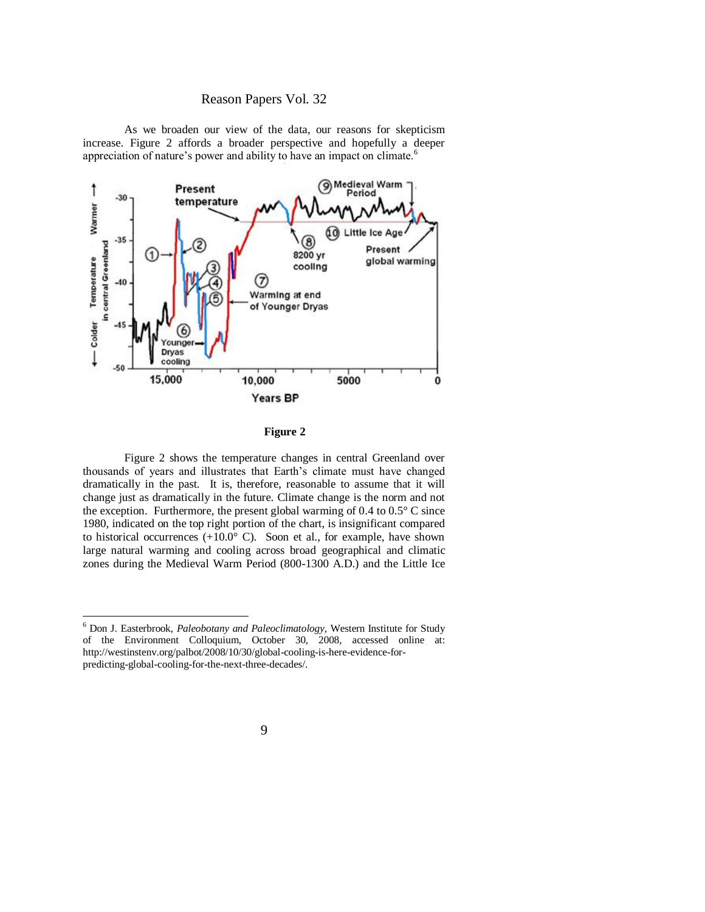As we broaden our view of the data, our reasons for skepticism increase. Figure 2 affords a broader perspective and hopefully a deeper appreciation of nature's power and ability to have an impact on climate.<sup>6</sup>



#### **Figure 2**

Figure 2 shows the temperature changes in central Greenland over thousands of years and illustrates that Earth's climate must have changed dramatically in the past. It is, therefore, reasonable to assume that it will change just as dramatically in the future. Climate change is the norm and not the exception. Furthermore, the present global warming of  $0.4$  to  $0.5^{\circ}$  C since 1980, indicated on the top right portion of the chart, is insignificant compared to historical occurrences  $(+10.0^{\circ} \text{ C})$ . Soon et al., for example, have shown large natural warming and cooling across broad geographical and climatic zones during the Medieval Warm Period (800-1300 A.D.) and the Little Ice

<sup>6</sup> Don J. Easterbrook, *Paleobotany and Paleoclimatology*, Western Institute for Study of the Environment Colloquium, October 30, 2008, accessed online at: [http://westinstenv.org/palbot/2008/10/30/global-cooling-is-here-evidence-for](http://westinstenv.org/palbot/2008/10/30/global-cooling-is-here-evidence-for-predicting-global-cooling-for-the-next-three-decades/)[predicting-global-cooling-for-the-next-three-decades/.](http://westinstenv.org/palbot/2008/10/30/global-cooling-is-here-evidence-for-predicting-global-cooling-for-the-next-three-decades/)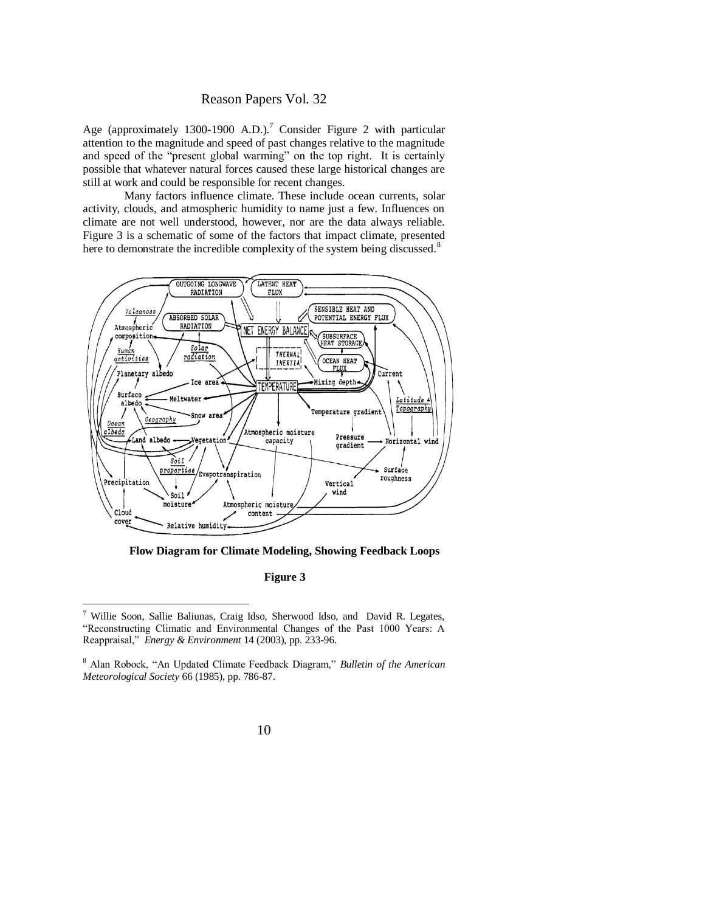Age (approximately 1300-1900 A.D.).<sup>7</sup> Consider Figure 2 with particular attention to the magnitude and speed of past changes relative to the magnitude and speed of the "present global warming" on the top right. It is certainly possible that whatever natural forces caused these large historical changes are still at work and could be responsible for recent changes.

Many factors influence climate. These include ocean currents, solar activity, clouds, and atmospheric humidity to name just a few. Influences on climate are not well understood, however, nor are the data always reliable. Figure 3 is a schematic of some of the factors that impact climate, presented here to demonstrate the incredible complexity of the system being discussed.<sup>8</sup>



**Flow Diagram for Climate Modeling, Showing Feedback Loops**

#### **Figure 3**

<sup>7</sup> Willie Soon, Sallie Baliunas, Craig Idso, Sherwood Idso, and David R. Legates, "Reconstructing Climatic and Environmental Changes of the Past 1000 Years: A Reappraisal,‖ *Energy & Environment* 14 (2003), pp. 233-96.

<sup>&</sup>lt;sup>8</sup> Alan Robock, "An Updated Climate Feedback Diagram," *Bulletin of the American Meteorological Society* 66 (1985), pp. 786-87.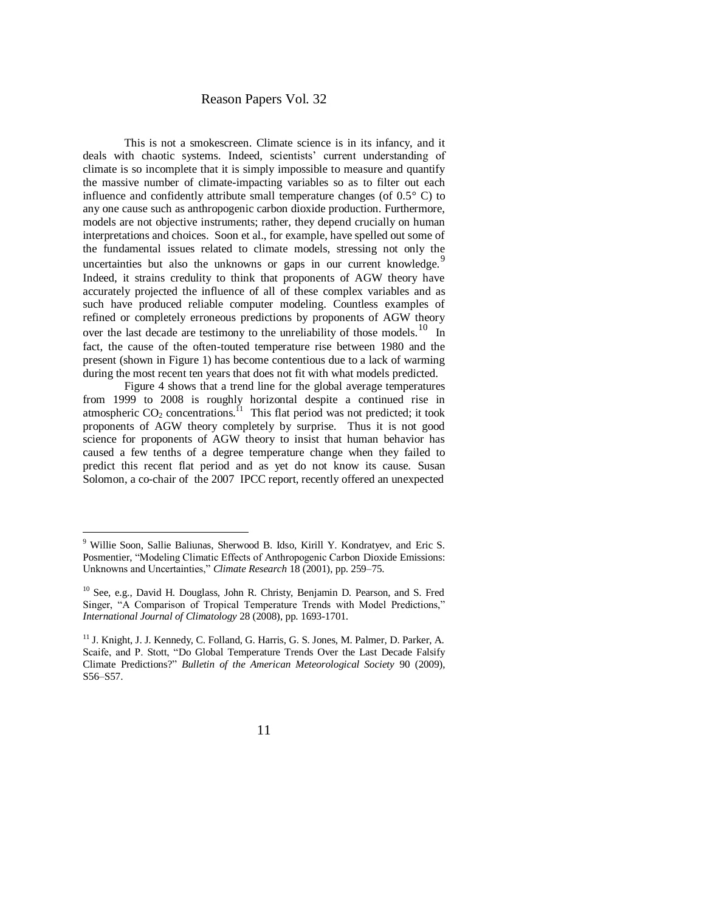This is not a smokescreen. Climate science is in its infancy, and it deals with chaotic systems. Indeed, scientists' current understanding of climate is so incomplete that it is simply impossible to measure and quantify the massive number of climate-impacting variables so as to filter out each influence and confidently attribute small temperature changes (of 0.5° C) to any one cause such as anthropogenic carbon dioxide production. Furthermore, models are not objective instruments; rather, they depend crucially on human interpretations and choices. Soon et al., for example, have spelled out some of the fundamental issues related to climate models, stressing not only the uncertainties but also the unknowns or gaps in our current knowledge. Indeed, it strains credulity to think that proponents of AGW theory have accurately projected the influence of all of these complex variables and as such have produced reliable computer modeling. Countless examples of refined or completely erroneous predictions by proponents of AGW theory over the last decade are testimony to the unreliability of those models.<sup>10</sup> In fact, the cause of the often-touted temperature rise between 1980 and the present (shown in Figure 1) has become contentious due to a lack of warming during the most recent ten years that does not fit with what models predicted.

Figure 4 shows that a trend line for the global average temperatures from 1999 to 2008 is roughly horizontal despite a continued rise in atmospheric  $CO_2$  concentrations.<sup>11</sup> This flat period was not predicted; it took proponents of AGW theory completely by surprise. Thus it is not good science for proponents of AGW theory to insist that human behavior has caused a few tenths of a degree temperature change when they failed to predict this recent flat period and as yet do not know its cause. Susan Solomon, a co-chair of the 2007 IPCC report, recently offered an unexpected

<sup>&</sup>lt;sup>9</sup> Willie Soon, Sallie Baliunas, Sherwood B. Idso, Kirill Y. Kondratyev, and Eric S. Posmentier, "Modeling Climatic Effects of Anthropogenic Carbon Dioxide Emissions: Unknowns and Uncertainties," *Climate Research* 18 (2001), pp. 259–75.

<sup>10</sup> See, e.g., David H. Douglass, John R. Christy, Benjamin D. Pearson, and S. Fred Singer, "A Comparison of Tropical Temperature Trends with Model Predictions," *International Journal of Climatology* 28 (2008), pp. 1693-1701.

<sup>&</sup>lt;sup>11</sup> J. Knight, J. J. Kennedy, C. Folland, G. Harris, G. S. Jones, M. Palmer, D. Parker, A. Scaife, and P. Stott, "Do Global Temperature Trends Over the Last Decade Falsify Climate Predictions?‖ *Bulletin of the American Meteorological Society* 90 (2009), S56–S57.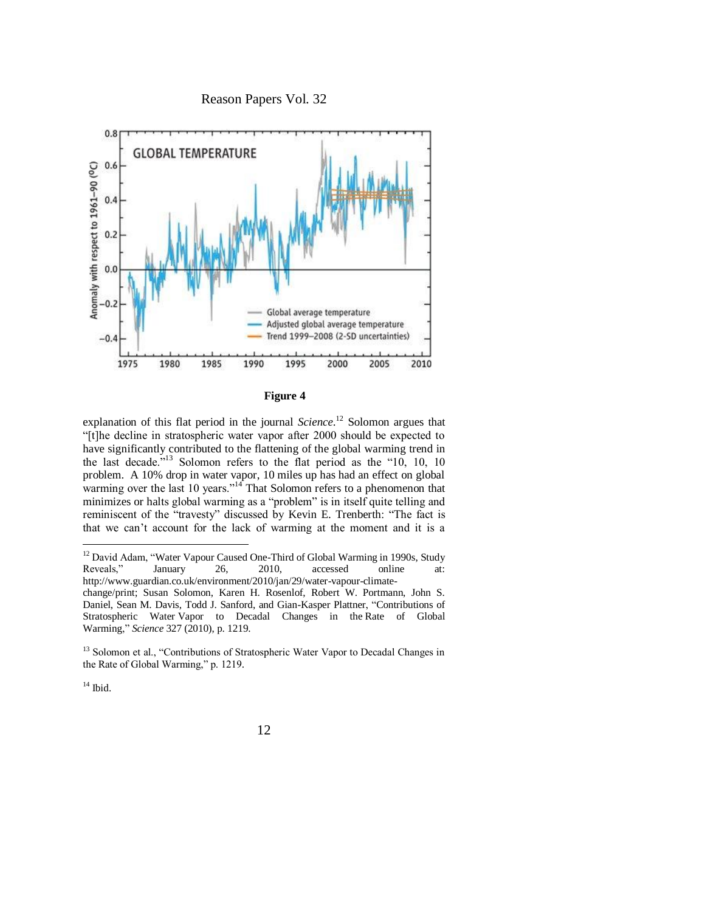



**Figure 4**

explanation of this flat period in the journal *Science*. <sup>12</sup> Solomon argues that ―[t]he decline in stratospheric water vapor after 2000 should be expected to have significantly contributed to the flattening of the global warming trend in the last decade.<sup>313</sup> Solomon refers to the flat period as the  $-10$ , 10, 10 problem. A 10% drop in water vapor, 10 miles up has had an effect on global warming over the last 10 years." $14$  That Solomon refers to a phenomenon that minimizes or halts global warming as a "problem" is in itself quite telling and reminiscent of the "travesty" discussed by Kevin E. Trenberth: "The fact is that we can't account for the lack of warming at the moment and it is a

 $12$  David Adam, "Water Vapour Caused One-Third of Global Warming in 1990s, Study Reveals," January 26, 2010, accessed online at: http://www.guardian.co.uk/environment/2010/jan/29/water-vapour-climatechange/print; Susan Solomon, Karen H. Rosenlof, Robert W. Portmann, John S. Daniel, Sean M. Davis, Todd J. Sanford, and Gian-Kasper Plattner, "Contributions of Stratospheric Water Vapor to Decadal Changes in the Rate of Global Warming," *Science* 327 (2010), p. 1219.

<sup>&</sup>lt;sup>13</sup> Solomon et al., "Contributions of Stratospheric Water Vapor to Decadal Changes in the Rate of Global Warming," p. 1219.

 $14$  Ibid.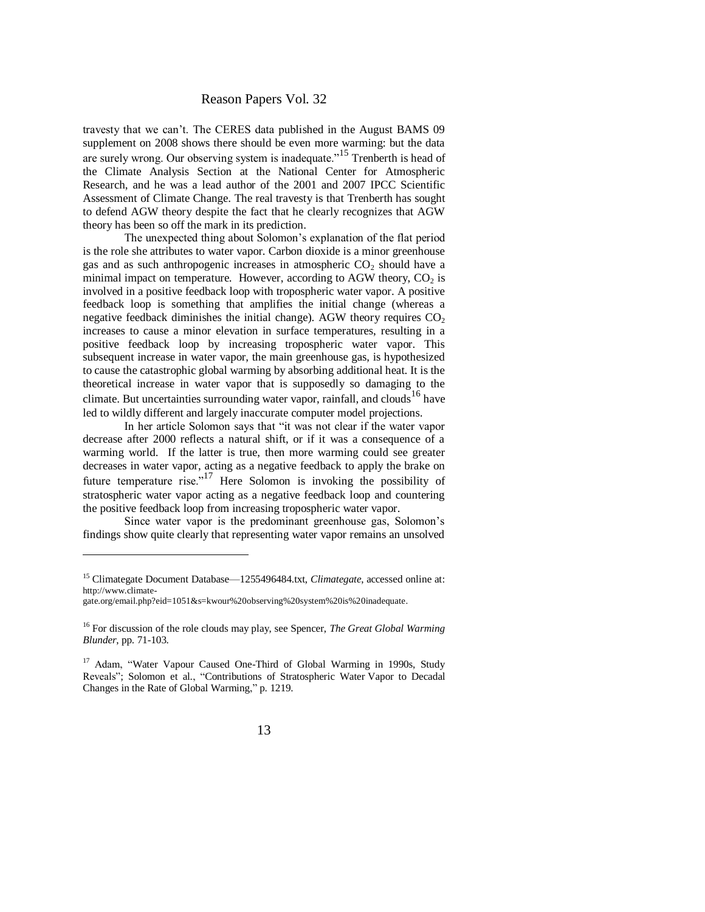travesty that we can't. The CERES data published in the August BAMS 09 supplement on 2008 shows there should be even more warming: but the data are surely wrong. Our observing system is inadequate.<sup>15</sup> Trenberth is head of the Climate Analysis Section at the National Center for Atmospheric Research, and he was a lead author of the 2001 and 2007 IPCC Scientific Assessment of Climate Change. The real travesty is that Trenberth has sought to defend AGW theory despite the fact that he clearly recognizes that AGW theory has been so off the mark in its prediction.

The unexpected thing about Solomon's explanation of the flat period is the role she attributes to water vapor. Carbon dioxide is a minor greenhouse gas and as such anthropogenic increases in atmospheric  $CO<sub>2</sub>$  should have a minimal impact on temperature. However, according to AGW theory,  $CO<sub>2</sub>$  is involved in a positive feedback loop with tropospheric water vapor. A positive feedback loop is something that amplifies the initial change (whereas a negative feedback diminishes the initial change). AGW theory requires  $CO<sub>2</sub>$ increases to cause a minor elevation in surface temperatures, resulting in a positive feedback loop by increasing tropospheric water vapor. This subsequent increase in water vapor, the main greenhouse gas, is hypothesized to cause the catastrophic global warming by absorbing additional heat. It is the theoretical increase in water vapor that is supposedly so damaging to the climate. But uncertainties surrounding water vapor, rainfall, and clouds  $16$  have led to wildly different and largely inaccurate computer model projections.

In her article Solomon says that "it was not clear if the water vapor decrease after 2000 reflects a natural shift, or if it was a consequence of a warming world. If the latter is true, then more warming could see greater decreases in water vapor, acting as a negative feedback to apply the brake on future temperature rise."<sup>17</sup> Here Solomon is invoking the possibility of stratospheric water vapor acting as a negative feedback loop and countering the positive feedback loop from increasing tropospheric water vapor.

Since water vapor is the predominant greenhouse gas, Solomon's findings show quite clearly that representing water vapor remains an unsolved

<sup>15</sup> Climategate Document Database—1255496484.txt, *Climategate*, accessed online at: [http://www.climate-](http://www.climate-gate.org/email.php?eid=1051&s=kwour%20observing%20system%20is%20inadequate)

[gate.org/email.php?eid=1051&s=kwour%20observing%20system%20is%20inadequate.](http://www.climate-gate.org/email.php?eid=1051&s=kwour%20observing%20system%20is%20inadequate)

<sup>16</sup> For discussion of the role clouds may play, see Spencer, *The Great Global Warming Blunder*, pp. 71-103.

<sup>&</sup>lt;sup>17</sup> Adam, "Water Vapour Caused One-Third of Global Warming in 1990s, Study Reveals"; Solomon et al., "Contributions of Stratospheric Water Vapor to Decadal Changes in the Rate of Global Warming," p. 1219.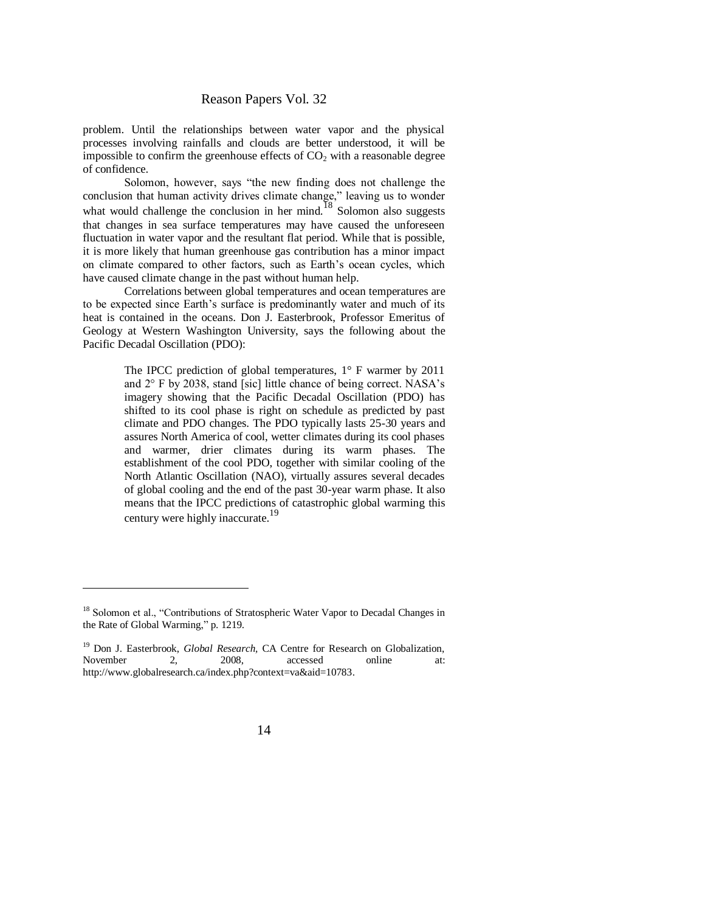problem. Until the relationships between water vapor and the physical processes involving rainfalls and clouds are better understood, it will be impossible to confirm the greenhouse effects of  $CO<sub>2</sub>$  with a reasonable degree of confidence.

Solomon, however, says "the new finding does not challenge the conclusion that human activity drives climate change," leaving us to wonder what would challenge the conclusion in her mind.<sup>18</sup> Solomon also suggests that changes in sea surface temperatures may have caused the unforeseen fluctuation in water vapor and the resultant flat period. While that is possible, it is more likely that human greenhouse gas contribution has a minor impact on climate compared to other factors, such as Earth's ocean cycles, which have caused climate change in the past without human help.

Correlations between global temperatures and ocean temperatures are to be expected since Earth's surface is predominantly water and much of its heat is contained in the oceans. Don J. Easterbrook, Professor Emeritus of Geology at Western Washington University, says the following about the Pacific Decadal Oscillation (PDO):

> The IPCC prediction of global temperatures,  $1^\circ$  F warmer by 2011 and 2° F by 2038, stand [sic] little chance of being correct. NASA's imagery showing that the Pacific Decadal Oscillation (PDO) has shifted to its cool phase is right on schedule as predicted by past climate and PDO changes. The PDO typically lasts 25-30 years and assures North America of cool, wetter climates during its cool phases and warmer, drier climates during its warm phases. The establishment of the cool PDO, together with similar cooling of the North Atlantic Oscillation (NAO), virtually assures several decades of global cooling and the end of the past 30-year warm phase. It also means that the IPCC predictions of catastrophic global warming this century were highly inaccurate.<sup>19</sup>

<sup>&</sup>lt;sup>18</sup> Solomon et al., "Contributions of Stratospheric Water Vapor to Decadal Changes in the Rate of Global Warming," p. 1219.

<sup>&</sup>lt;sup>19</sup> Don J. Easterbrook, *Global Research*, CA Centre for Research on Globalization, November 2, 2008, accessed online at: [http://www.globalresearch.ca/index.php?context=va&aid=10783.](http://www.globalresearch.ca/index.php?context=va&aid=10783)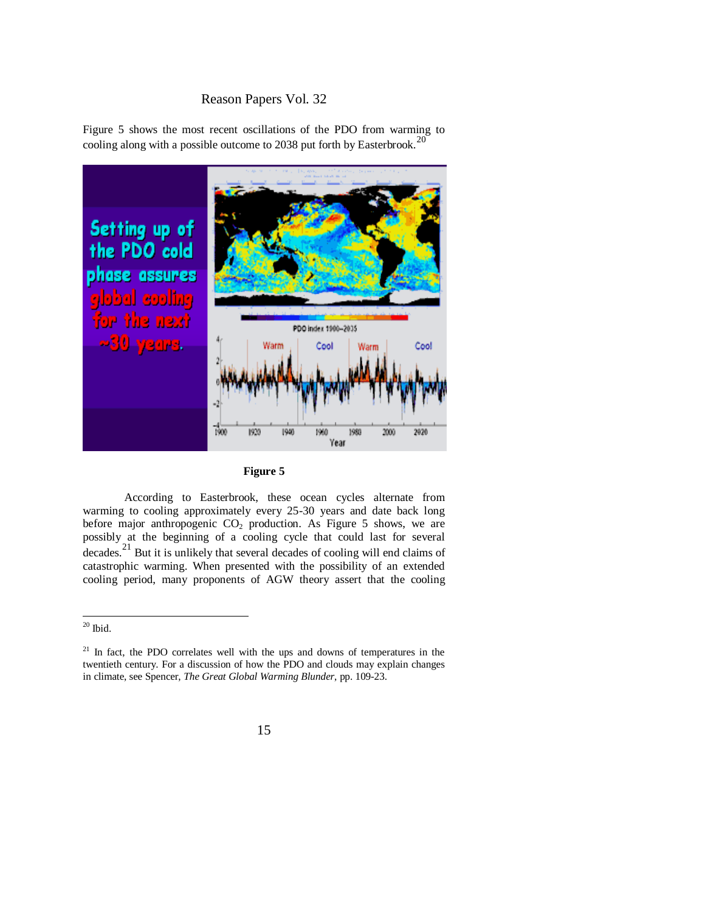Figure 5 shows the most recent oscillations of the PDO from warming to cooling along with a possible outcome to 2038 put forth by Easterbrook.<sup>20</sup>





According to Easterbrook, these ocean cycles alternate from warming to cooling approximately every 25-30 years and date back long before major anthropogenic  $CO<sub>2</sub>$  production. As Figure 5 shows, we are possibly at the beginning of a cooling cycle that could last for several decades.<sup>21</sup> But it is unlikely that several decades of cooling will end claims of catastrophic warming. When presented with the possibility of an extended cooling period, many proponents of AGW theory assert that the cooling

 $20$  Ibid.

 $21$  In fact, the PDO correlates well with the ups and downs of temperatures in the twentieth century. For a discussion of how the PDO and clouds may explain changes in climate, see Spencer, *The Great Global Warming Blunder*, pp. 109-23.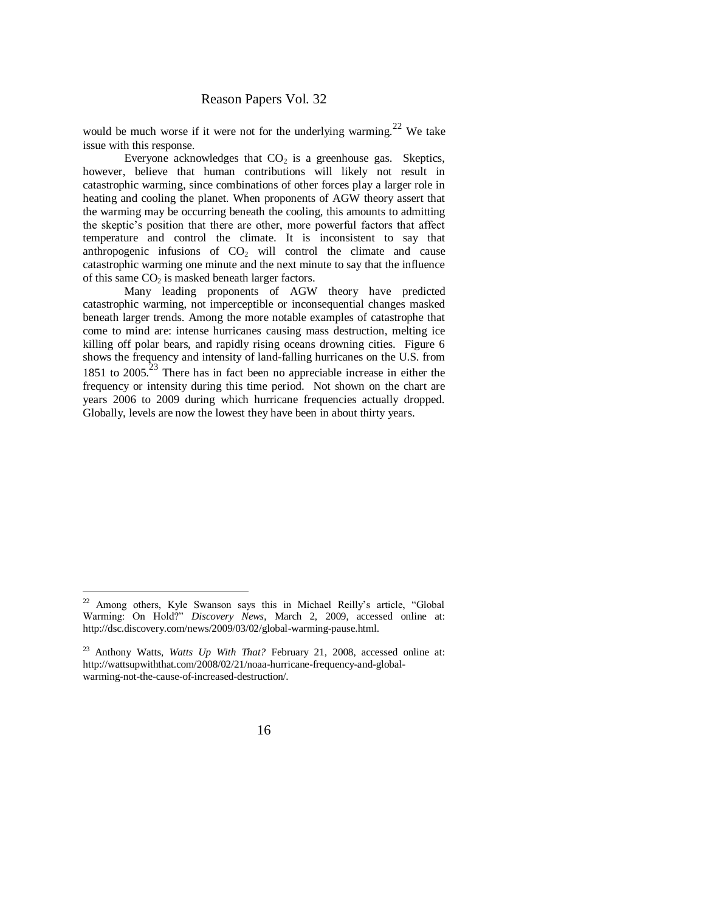would be much worse if it were not for the underlying warming.<sup>22</sup> We take issue with this response.

Everyone acknowledges that  $CO<sub>2</sub>$  is a greenhouse gas. Skeptics, however, believe that human contributions will likely not result in catastrophic warming, since combinations of other forces play a larger role in heating and cooling the planet. When proponents of AGW theory assert that the warming may be occurring beneath the cooling, this amounts to admitting the skeptic's position that there are other, more powerful factors that affect temperature and control the climate. It is inconsistent to say that anthropogenic infusions of  $CO<sub>2</sub>$  will control the climate and cause catastrophic warming one minute and the next minute to say that the influence of this same  $CO<sub>2</sub>$  is masked beneath larger factors.

Many leading proponents of AGW theory have predicted catastrophic warming, not imperceptible or inconsequential changes masked beneath larger trends. Among the more notable examples of catastrophe that come to mind are: intense hurricanes causing mass destruction, melting ice killing off polar bears, and rapidly rising oceans drowning cities. Figure 6 shows the frequency and intensity of land-falling hurricanes on the U.S. from 1851 to  $2005.<sup>23</sup>$  There has in fact been no appreciable increase in either the frequency or intensity during this time period. Not shown on the chart are years 2006 to 2009 during which hurricane frequencies actually dropped. Globally, levels are now the lowest they have been in about thirty years.

 $22$  Among others, Kyle Swanson says this in Michael Reilly's article, "Global Warming: On Hold?" *Discovery News*, March 2, 2009, accessed online at: [http://dsc.discovery.com/news/2009/03/02/global-warming-pause.html.](http://dsc.discovery.com/news/2009/03/02/global-warming-pause.html)

<sup>23</sup> Anthony Watts, *Watts Up With That?* [February 21, 2008, accessed online at:](../../../../Documents%20and%20Settings/cbiondi/Desktop/Reason%20Papers%2032%20backup/Watts,%20Watts%20Up%20With%20That%3f%20February%2021,%202008,%20accessed%20online%20at:%20http:/wattsupwiththat.com/2008/02/21/noaa-hurricane-frequency-and-global-warming-not-the-cause-of-increased-destruction)  [http://wattsupwiththat.com/2008/02/21/noaa-hurricane-frequency-and-global](../../../../Documents%20and%20Settings/cbiondi/Desktop/Reason%20Papers%2032%20backup/Watts,%20Watts%20Up%20With%20That%3f%20February%2021,%202008,%20accessed%20online%20at:%20http:/wattsupwiththat.com/2008/02/21/noaa-hurricane-frequency-and-global-warming-not-the-cause-of-increased-destruction)[warming-not-the-cause-of-increased-destruction/.](../../../../Documents%20and%20Settings/cbiondi/Desktop/Reason%20Papers%2032%20backup/Watts,%20Watts%20Up%20With%20That%3f%20February%2021,%202008,%20accessed%20online%20at:%20http:/wattsupwiththat.com/2008/02/21/noaa-hurricane-frequency-and-global-warming-not-the-cause-of-increased-destruction)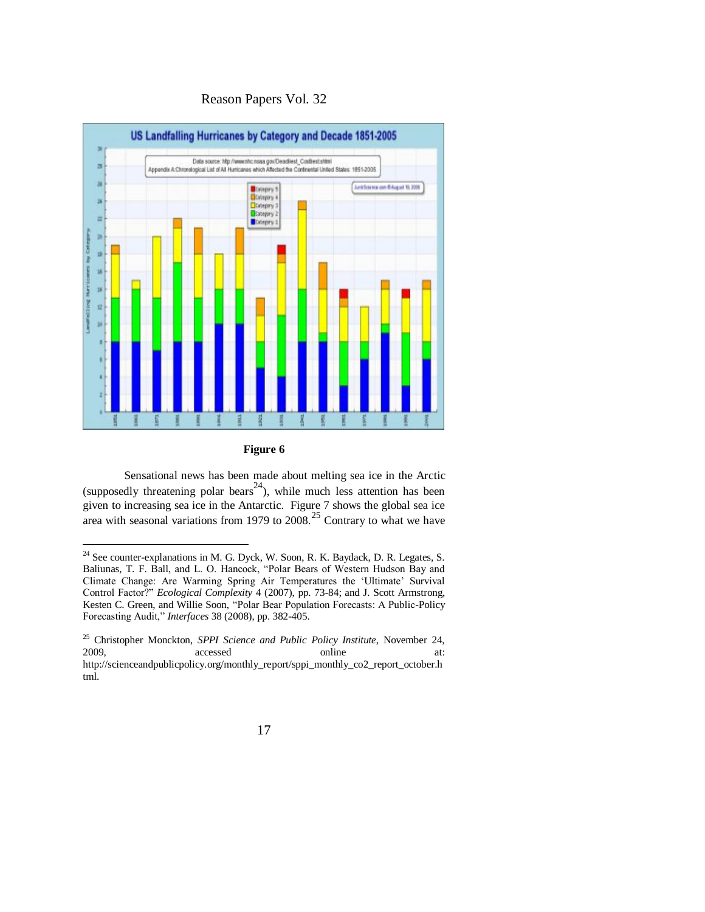



**Figure 6**

Sensational news has been made about melting sea ice in the Arctic (supposedly threatening polar bears<sup>24</sup>), while much less attention has been given to increasing sea ice in the Antarctic. Figure 7 shows the global sea ice area with seasonal variations from 1979 to 2008.<sup>25</sup> Contrary to what we have

 $24$  See counter-explanations in M. G. Dyck, W. Soon, R. K. Baydack, D. R. Legates, S. Baliunas, T. F. Ball, and L. O. Hancock, "Polar Bears of Western Hudson Bay and Climate Change: Are Warming Spring Air Temperatures the ‗Ultimate' Survival Control Factor?" *Ecological Complexity* 4 (2007), pp. 73-84; and J. Scott Armstrong, Kesten C. Green, and Willie Soon, "Polar Bear Population Forecasts: A Public-Policy Forecasting Audit,‖ *Interfaces* 38 (2008), pp. 382-405.

<sup>25</sup> Christopher Monckton, *SPPI Science and Public Policy Institute*, November 24, 2009, accessed online at: http://scienceandpublicpolicy.org/monthly\_report/sppi\_monthly\_co2\_report\_october.h tml.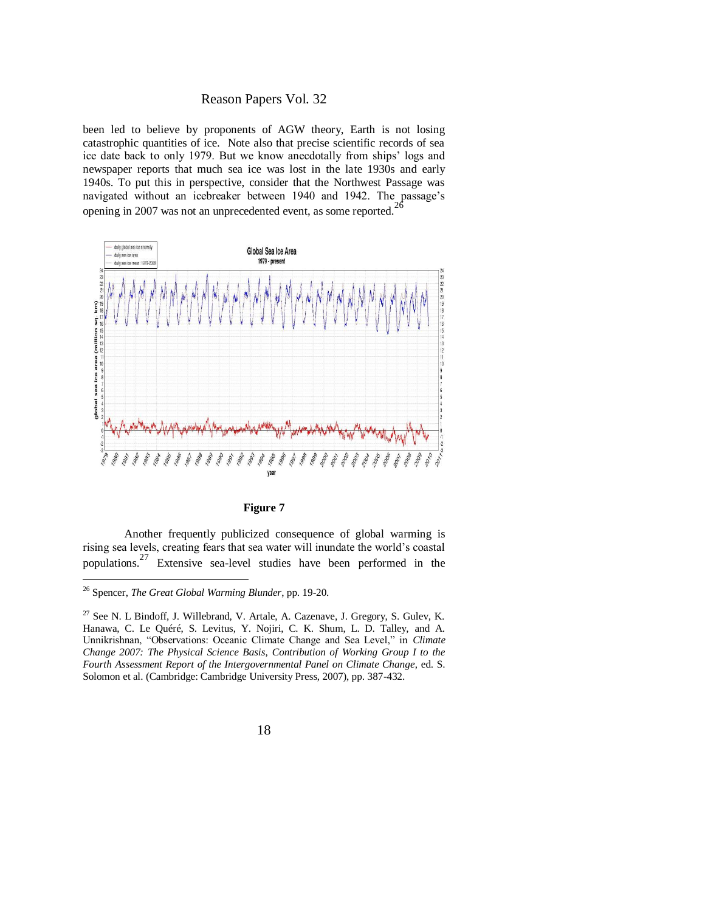been led to believe by proponents of AGW theory, Earth is not losing catastrophic quantities of ice. Note also that precise scientific records of sea ice date back to only 1979. But we know anecdotally from ships' logs and newspaper reports that much sea ice was lost in the late 1930s and early 1940s. To put this in perspective, consider that the Northwest Passage was navigated without an icebreaker between 1940 and 1942. The passage's opening in 2007 was not an unprecedented event, as some reported.<sup>26</sup>





Another frequently publicized consequence of global warming is rising sea levels, creating fears that sea water will inundate the world's coastal populations.<sup>27</sup> Extensive sea-level studies have been performed in the

<sup>26</sup> Spencer, *The Great Global Warming Blunder*, pp. 19-20.

 $^{27}$  See N. L Bindoff, J. Willebrand, V. Artale, A. Cazenave, J. Gregory, S. Guley, K. Hanawa, C. Le Quéré, S. Levitus, Y. Nojiri, C. K. Shum, L. D. Talley, and A. Unnikrishnan, "Observations: Oceanic Climate Change and Sea Level," in *Climate Change 2007: The Physical Science Basis*, *Contribution of Working Group I to the Fourth Assessment Report of the Intergovernmental Panel on Climate Change*, ed. S. Solomon et al. (Cambridge: Cambridge University Press, 2007), pp. 387-432.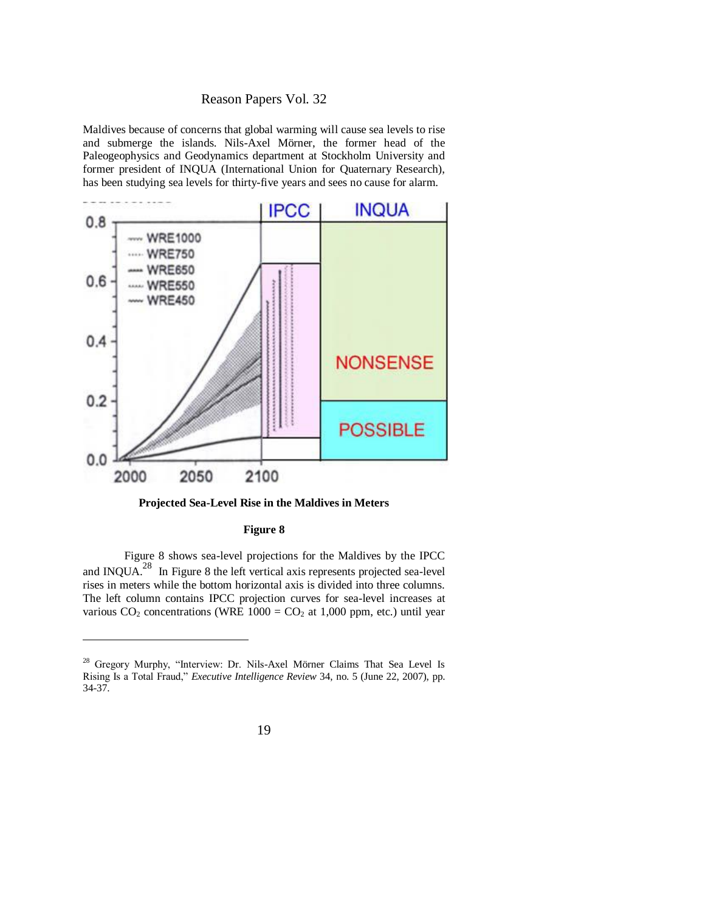Maldives because of concerns that global warming will cause sea levels to rise and submerge the islands. Nils-Axel Mörner, the former head of the Paleogeophysics and Geodynamics department at Stockholm University and former president of INQUA (International Union for Quaternary Research), has been studying sea levels for thirty-five years and sees no cause for alarm.



**Projected Sea-Level Rise in the Maldives in Meters**

#### **Figure 8**

Figure 8 shows sea-level projections for the Maldives by the IPCC and INQUA.<sup>28</sup> In Figure 8 the left vertical axis represents projected sea-level rises in meters while the bottom horizontal axis is divided into three columns. The left column contains IPCC projection curves for sea-level increases at various  $CO_2$  concentrations (WRE 1000 =  $CO_2$  at 1,000 ppm, etc.) until year

<sup>&</sup>lt;sup>28</sup> Gregory Murphy, "Interview: Dr. Nils-Axel Mörner Claims That Sea Level Is Rising Is a Total Fraud," *Executive Intelligence Review 34*, no. 5 (June 22, 2007), pp. 34-37.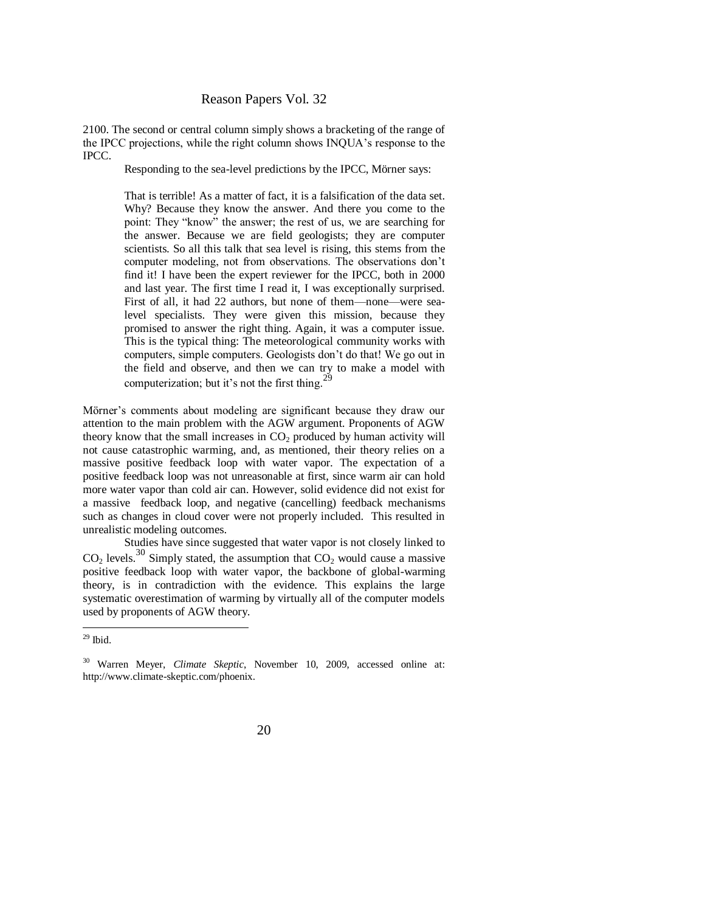2100. The second or central column simply shows a bracketing of the range of the IPCC projections, while the right column shows INQUA's response to the IPCC.

Responding to the sea-level predictions by the IPCC, Mörner says:

That is terrible! As a matter of fact, it is a falsification of the data set. Why? Because they know the answer. And there you come to the point: They "know" the answer; the rest of us, we are searching for the answer. Because we are field geologists; they are computer scientists. So all this talk that sea level is rising, this stems from the computer modeling, not from observations. The observations don't find it! I have been the expert reviewer for the IPCC, both in 2000 and last year. The first time I read it, I was exceptionally surprised. First of all, it had 22 authors, but none of them—none—were sealevel specialists. They were given this mission, because they promised to answer the right thing. Again, it was a computer issue. This is the typical thing: The meteorological community works with computers, simple computers. Geologists don't do that! We go out in the field and observe, and then we can try to make a model with computerization; but it's not the first thing.<sup>29</sup>

Mörner's comments about modeling are significant because they draw our attention to the main problem with the AGW argument. Proponents of AGW theory know that the small increases in  $CO<sub>2</sub>$  produced by human activity will not cause catastrophic warming, and, as mentioned, their theory relies on a massive positive feedback loop with water vapor. The expectation of a positive feedback loop was not unreasonable at first, since warm air can hold more water vapor than cold air can. However, solid evidence did not exist for a massive feedback loop, and negative (cancelling) feedback mechanisms such as changes in cloud cover were not properly included. This resulted in unrealistic modeling outcomes.

Studies have since suggested that water vapor is not closely linked to  $CO<sub>2</sub>$  levels.<sup>30</sup> Simply stated, the assumption that  $CO<sub>2</sub>$  would cause a massive positive feedback loop with water vapor, the backbone of global-warming theory, is in contradiction with the evidence. This explains the large systematic overestimation of warming by virtually all of the computer models used by proponents of AGW theory.

 $29$  Ibid.

<sup>30</sup> Warren Meyer, *Climate Skeptic*, November 10, 2009, accessed online at: http://www.climate-skeptic.com/phoenix.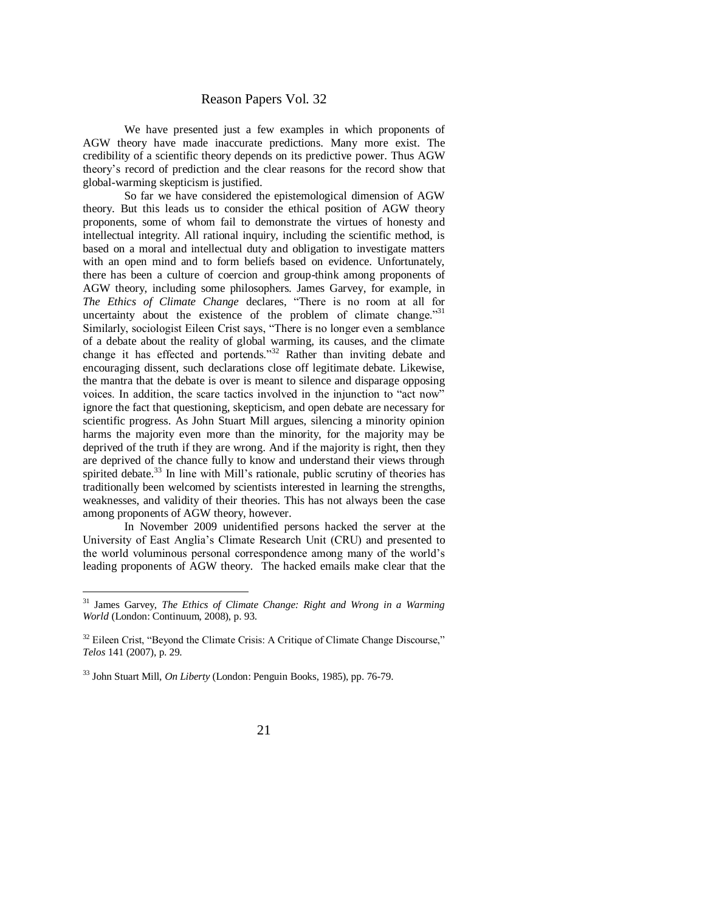We have presented just a few examples in which proponents of AGW theory have made inaccurate predictions. Many more exist. The credibility of a scientific theory depends on its predictive power. Thus AGW theory's record of prediction and the clear reasons for the record show that global-warming skepticism is justified.

So far we have considered the epistemological dimension of AGW theory. But this leads us to consider the ethical position of AGW theory proponents, some of whom fail to demonstrate the virtues of honesty and intellectual integrity. All rational inquiry, including the scientific method, is based on a moral and intellectual duty and obligation to investigate matters with an open mind and to form beliefs based on evidence. Unfortunately, there has been a culture of coercion and group-think among proponents of AGW theory, including some philosophers. James Garvey, for example, in The Ethics of Climate Change declares, "There is no room at all for uncertainty about the existence of the problem of climate change."31 Similarly, sociologist Eileen Crist says, "There is no longer even a semblance of a debate about the reality of global warming, its causes, and the climate change it has effected and portends.<sup>33</sup> Rather than inviting debate and encouraging dissent, such declarations close off legitimate debate. Likewise, the mantra that the debate is over is meant to silence and disparage opposing voices. In addition, the scare tactics involved in the injunction to "act now" ignore the fact that questioning, skepticism, and open debate are necessary for scientific progress. As John Stuart Mill argues, silencing a minority opinion harms the majority even more than the minority, for the majority may be deprived of the truth if they are wrong. And if the majority is right, then they are deprived of the chance fully to know and understand their views through spirited debate.<sup>33</sup> In line with Mill's rationale, public scrutiny of theories has traditionally been welcomed by scientists interested in learning the strengths, weaknesses, and validity of their theories. This has not always been the case among proponents of AGW theory, however.

In November 2009 unidentified persons hacked the server at the University of East Anglia's Climate Research Unit (CRU) and presented to the world voluminous personal correspondence among many of the world's leading proponents of AGW theory. The hacked emails make clear that the

<sup>31</sup> James Garvey, *The Ethics of Climate Change: Right and Wrong in a Warming World* (London: Continuum, 2008), p. 93.

 $32$  Eileen Crist, "Beyond the Climate Crisis: A Critique of Climate Change Discourse," *Telos* 141 (2007), p. 29.

<sup>33</sup> John Stuart Mill, *On Liberty* (London: Penguin Books, 1985), pp. 76-79.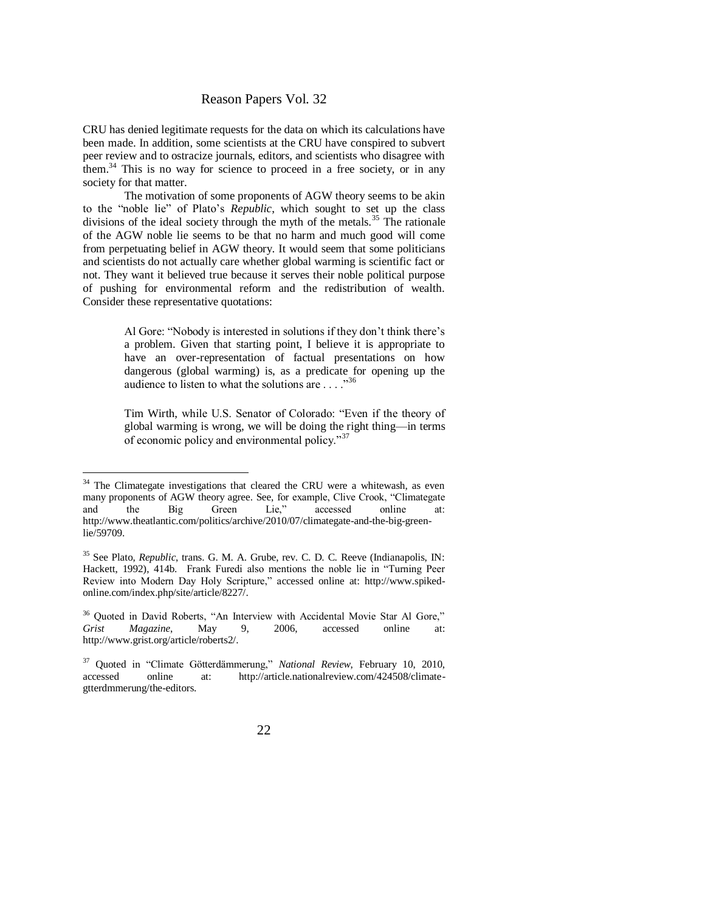CRU has denied legitimate requests for the data on which its calculations have been made. In addition, some scientists at the CRU have conspired to subvert peer review and to ostracize journals, editors, and scientists who disagree with them.<sup>34</sup> This is no way for science to proceed in a free society, or in any society for that matter.

The motivation of some proponents of AGW theory seems to be akin to the "noble lie" of Plato's *Republic*, which sought to set up the class divisions of the ideal society through the myth of the metals.<sup>35</sup> The rationale of the AGW noble lie seems to be that no harm and much good will come from perpetuating belief in AGW theory. It would seem that some politicians and scientists do not actually care whether global warming is scientific fact or not. They want it believed true because it serves their noble political purpose of pushing for environmental reform and the redistribution of wealth. Consider these representative quotations:

> Al Gore: "Nobody is interested in solutions if they don't think there's a problem. Given that starting point, I believe it is appropriate to have an over-representation of factual presentations on how dangerous (global warming) is, as a predicate for opening up the audience to listen to what the solutions are  $\ldots$  ...<sup>356</sup>

> Tim Wirth, while U.S. Senator of Colorado: "Even if the theory of global warming is wrong, we will be doing the right thing—in terms of economic policy and environmental policy."<sup>37</sup>

 $34$  The Climategate investigations that cleared the CRU were a whitewash, as even many proponents of AGW theory agree. See, for example, Clive Crook, "Climategate and the Big Green Lie." accessed online at: and the Big Green Lie," accessed online at: [http://www.theatlantic.com/politics/archive/2010/07/climategate-and-the-big-green](http://www.theatlantic.com/politics/archive/2010/07/climategate-and-the-big-green-lie/59709)[lie/59709.](http://www.theatlantic.com/politics/archive/2010/07/climategate-and-the-big-green-lie/59709)

<sup>35</sup> See Plato, *Republic*, trans. G. M. A. Grube, rev. C. D. C. Reeve (Indianapolis, IN: Hackett, 1992), 414b. Frank Furedi also mentions the noble lie in "Turning Peer Review into Modern Day Holy Scripture," accessed online at: http://www.spikedonline.com/index.php/site/article/8227/.

 $36$  Quoted in David Roberts, "An Interview with Accidental Movie Star Al Gore,"<br>
Grist Magazine. May 9, 2006, accessed online at: *Grist Magazine*, May 9, 2006, accessed online at: http://www.grist.org/article/roberts2/.

<sup>&</sup>lt;sup>37</sup> Quoted in "Climate Götterdämmerung," National Review, February 10, 2010, accessed online at: http://article.nationalreview.com/424508/climategtterdmmerung/the-editors.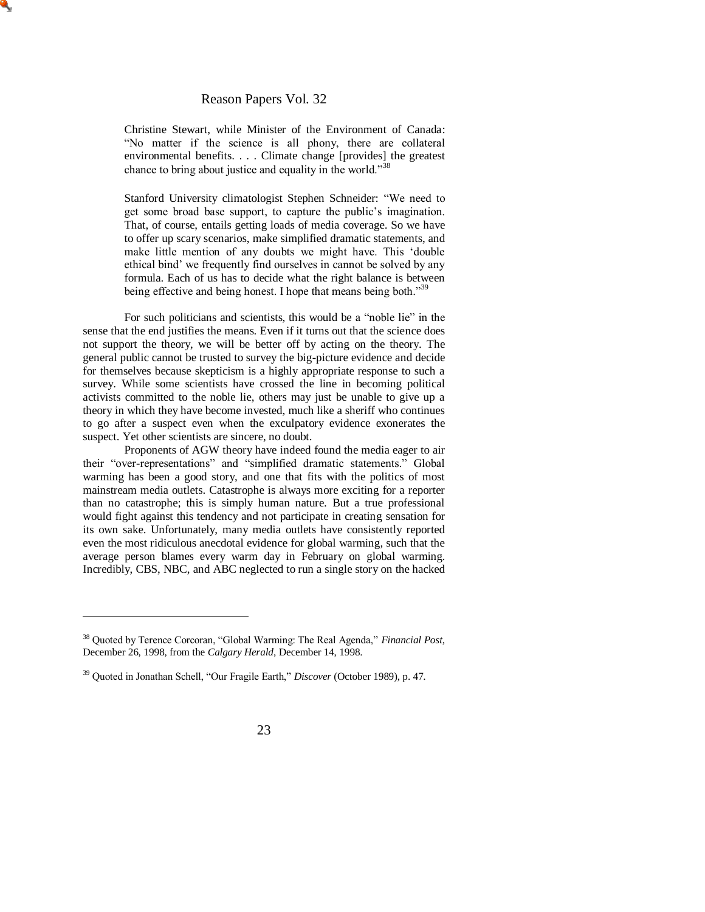Christine Stewart, while Minister of the Environment of Canada: ―No matter if the science is all phony, there are collateral environmental benefits. . . . Climate change [provides] the greatest chance to bring about justice and equality in the world.<sup>338</sup>

Stanford University climatologist Stephen Schneider: "We need to get some broad base support, to capture the public's imagination. That, of course, entails getting loads of media coverage. So we have to offer up scary scenarios, make simplified dramatic statements, and make little mention of any doubts we might have. This 'double ethical bind' we frequently find ourselves in cannot be solved by any formula. Each of us has to decide what the right balance is between being effective and being honest. I hope that means being both."39

For such politicians and scientists, this would be a "noble lie" in the sense that the end justifies the means. Even if it turns out that the science does not support the theory, we will be better off by acting on the theory. The general public cannot be trusted to survey the big-picture evidence and decide for themselves because skepticism is a highly appropriate response to such a survey. While some scientists have crossed the line in becoming political activists committed to the noble lie, others may just be unable to give up a theory in which they have become invested, much like a sheriff who continues to go after a suspect even when the exculpatory evidence exonerates the suspect. Yet other scientists are sincere, no doubt.

Proponents of AGW theory have indeed found the media eager to air their "over-representations" and "simplified dramatic statements." Global warming has been a good story, and one that fits with the politics of most mainstream media outlets. Catastrophe is always more exciting for a reporter than no catastrophe; this is simply human nature. But a true professional would fight against this tendency and not participate in creating sensation for its own sake. Unfortunately, many media outlets have consistently reported even the most ridiculous anecdotal evidence for global warming, such that the average person blames every warm day in February on global warming. Incredibly, CBS, NBC, and ABC neglected to run a single story on the hacked

<sup>&</sup>lt;sup>38</sup> Quoted by Terence Corcoran, "Global Warming: The Real Agenda," *Financial Post*, December 26, 1998, from the *Calgary Herald*, December 14, 1998.

<sup>&</sup>lt;sup>39</sup> Quoted in Jonathan Schell, "Our Fragile Earth," *Discover* (October 1989), p. 47.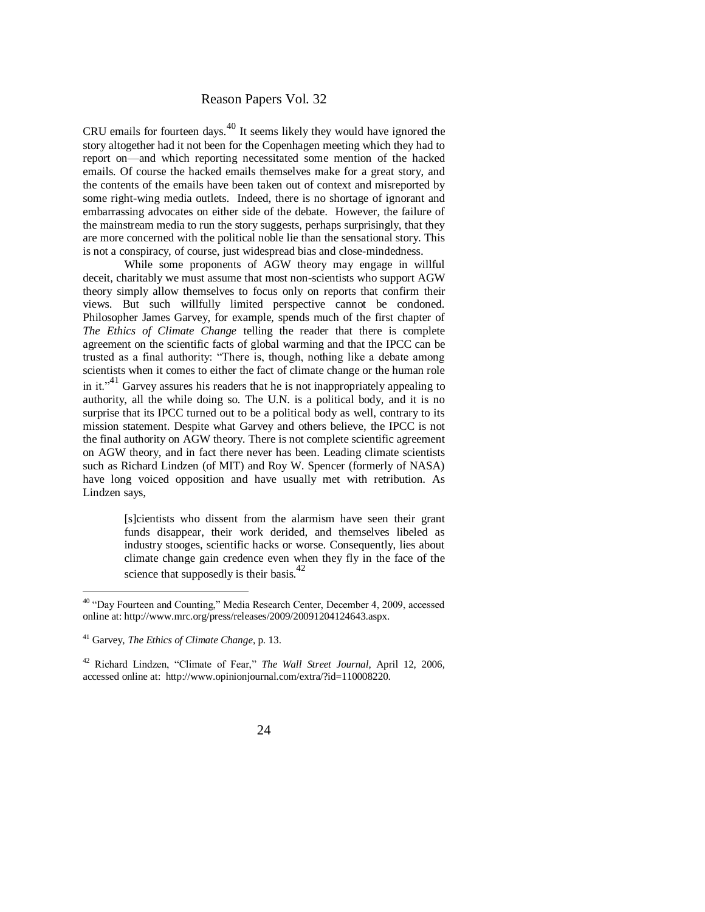CRU emails for fourteen days.<sup>40</sup> It seems likely they would have ignored the story altogether had it not been for the Copenhagen meeting which they had to report on—and which reporting necessitated some mention of the hacked emails. Of course the hacked emails themselves make for a great story, and the contents of the emails have been taken out of context and misreported by some right-wing media outlets. Indeed, there is no shortage of ignorant and embarrassing advocates on either side of the debate. However, the failure of the mainstream media to run the story suggests, perhaps surprisingly, that they are more concerned with the political noble lie than the sensational story. This is not a conspiracy, of course, just widespread bias and close-mindedness.

While some proponents of AGW theory may engage in willful deceit, charitably we must assume that most non-scientists who support AGW theory simply allow themselves to focus only on reports that confirm their views. But such willfully limited perspective cannot be condoned. Philosopher James Garvey, for example, spends much of the first chapter of *The Ethics of Climate Change* telling the reader that there is complete agreement on the scientific facts of global warming and that the IPCC can be trusted as a final authority: "There is, though, nothing like a debate among scientists when it comes to either the fact of climate change or the human role in it. $v^{41}$  Garvey assures his readers that he is not inappropriately appealing to authority, all the while doing so. The U.N. is a political body, and it is no surprise that its IPCC turned out to be a political body as well, contrary to its mission statement. Despite what Garvey and others believe, the IPCC is not the final authority on AGW theory. There is not complete scientific agreement on AGW theory, and in fact there never has been. Leading climate scientists such as Richard Lindzen (of MIT) and Roy W. Spencer (formerly of NASA) have long voiced opposition and have usually met with retribution. As Lindzen says,

> [s]cientists who dissent from the alarmism have seen their grant funds disappear, their work derided, and themselves libeled as industry stooges, scientific hacks or worse. Consequently, lies about climate change gain credence even when they fly in the face of the science that supposedly is their basis.<sup>42</sup>

<sup>&</sup>lt;sup>40</sup> "Day Fourteen and Counting," Media Research Center, December 4, 2009, accessed online at: http://www.mrc.org/press/releases/2009/20091204124643.aspx.

<sup>41</sup> Garvey, *The Ethics of Climate Change*, p. 13.

<sup>&</sup>lt;sup>42</sup> Richard Lindzen, "Climate of Fear," The Wall Street Journal, April 12, 2006, accessed online at: http://www.opinionjournal.com/extra/?id=110008220.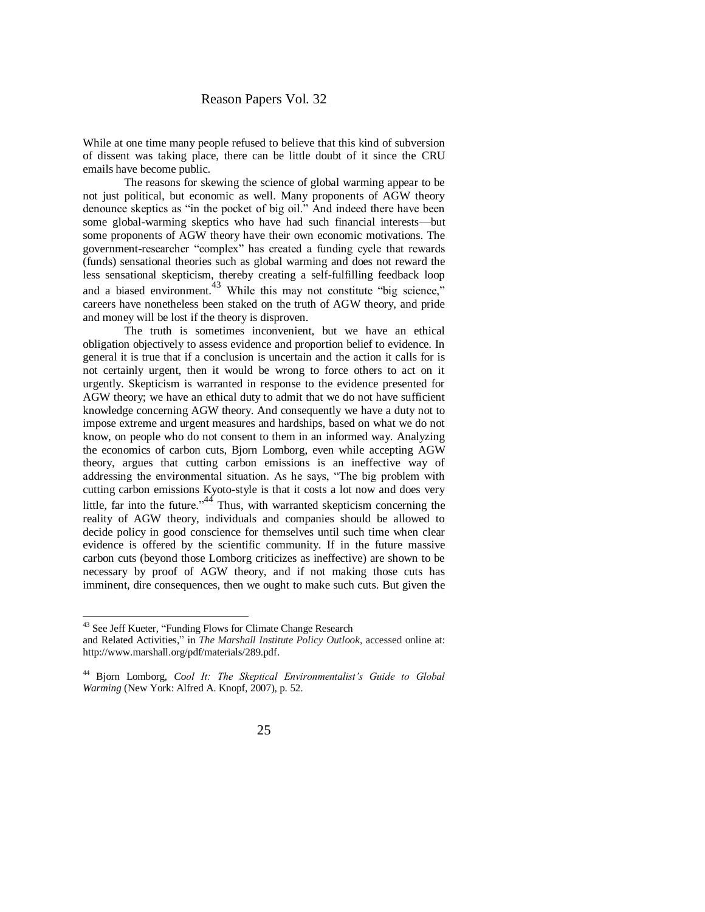While at one time many people refused to believe that this kind of subversion of dissent was taking place, there can be little doubt of it since the CRU emails have become public.

The reasons for skewing the science of global warming appear to be not just political, but economic as well. Many proponents of AGW theory denounce skeptics as "in the pocket of big oil." And indeed there have been some global-warming skeptics who have had such financial interests—but some proponents of AGW theory have their own economic motivations. The government-researcher "complex" has created a funding cycle that rewards (funds) sensational theories such as global warming and does not reward the less sensational skepticism, thereby creating a self-fulfilling feedback loop and a biased environment.<sup>43</sup> While this may not constitute "big science," careers have nonetheless been staked on the truth of AGW theory, and pride and money will be lost if the theory is disproven.

The truth is sometimes inconvenient, but we have an ethical obligation objectively to assess evidence and proportion belief to evidence. In general it is true that if a conclusion is uncertain and the action it calls for is not certainly urgent, then it would be wrong to force others to act on it urgently. Skepticism is warranted in response to the evidence presented for AGW theory; we have an ethical duty to admit that we do not have sufficient knowledge concerning AGW theory. And consequently we have a duty not to impose extreme and urgent measures and hardships, based on what we do not know, on people who do not consent to them in an informed way. Analyzing the economics of carbon cuts, Bjorn Lomborg, even while accepting AGW theory, argues that cutting carbon emissions is an ineffective way of addressing the environmental situation. As he says, "The big problem with cutting carbon emissions Kyoto-style is that it costs a lot now and does very little, far into the future.<sup> $44$ </sup> Thus, with warranted skepticism concerning the reality of AGW theory, individuals and companies should be allowed to decide policy in good conscience for themselves until such time when clear evidence is offered by the scientific community. If in the future massive carbon cuts (beyond those Lomborg criticizes as ineffective) are shown to be necessary by proof of AGW theory, and if not making those cuts has imminent, dire consequences, then we ought to make such cuts. But given the

<sup>&</sup>lt;sup>43</sup> See Jeff Kueter, "Funding Flows for Climate Change Research"

and Related Activities," in *The Marshall Institute Policy Outlook*, accessed online at: [http://www.marshall.org/pdf/materials/289.pdf.](http://www.marshall.org/pdf/materials/289.pdf)

<sup>44</sup> Bjorn Lomborg, *Cool It: The Skeptical Environmentalist's Guide to Global Warming* (New York: Alfred A. Knopf, 2007), p. 52.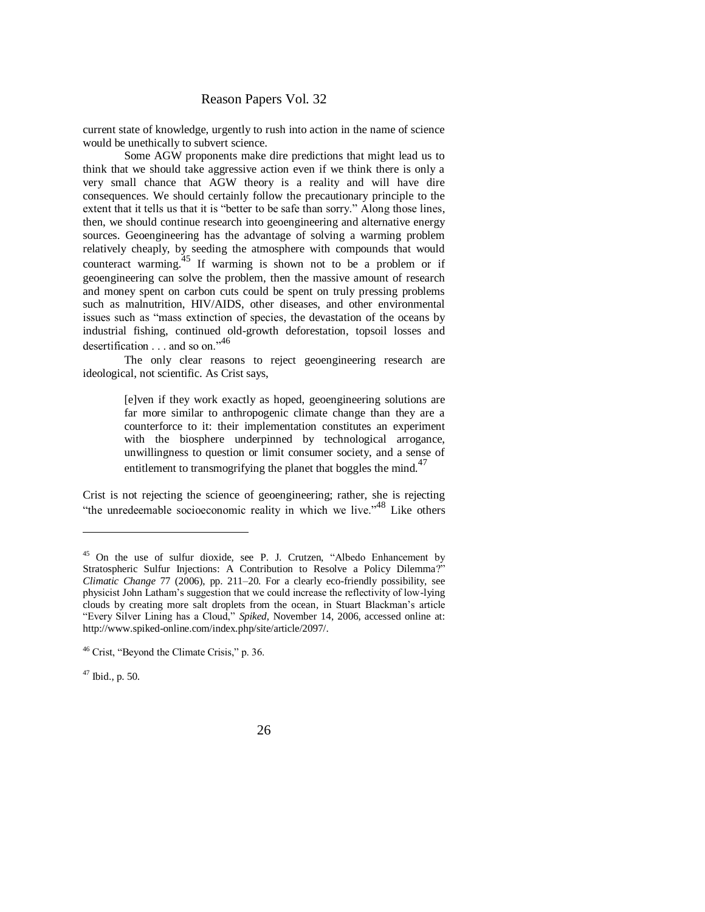current state of knowledge, urgently to rush into action in the name of science would be unethically to subvert science.

Some AGW proponents make dire predictions that might lead us to think that we should take aggressive action even if we think there is only a very small chance that AGW theory is a reality and will have dire consequences. We should certainly follow the precautionary principle to the extent that it tells us that it is "better to be safe than sorry." Along those lines, then, we should continue research into geoengineering and alternative energy sources. Geoengineering has the advantage of solving a warming problem relatively cheaply, by seeding the atmosphere with compounds that would counteract warming.<sup>45</sup> If warming is shown not to be a problem or if geoengineering can solve the problem, then the massive amount of research and money spent on carbon cuts could be spent on truly pressing problems such as malnutrition, HIV/AIDS, other diseases, and other environmental issues such as "mass extinction of species, the devastation of the oceans by industrial fishing, continued old-growth deforestation, topsoil losses and desertification  $\ldots$  and so on."<sup>46</sup>

The only clear reasons to reject geoengineering research are ideological, not scientific. As Crist says,

> [e]ven if they work exactly as hoped, geoengineering solutions are far more similar to anthropogenic climate change than they are a counterforce to it: their implementation constitutes an experiment with the biosphere underpinned by technological arrogance, unwillingness to question or limit consumer society, and a sense of entitlement to transmogrifying the planet that boggles the mind.<sup>47</sup>

Crist is not rejecting the science of geoengineering; rather, she is rejecting "the unredeemable socioeconomic reality in which we live."<sup>48</sup> Like others

<sup>&</sup>lt;sup>45</sup> On the use of sulfur dioxide, see P. J. Crutzen, "Albedo Enhancement by Stratospheric Sulfur Injections: A Contribution to Resolve a Policy Dilemma?" *Climatic Change* 77 (2006), pp. 211–20. For a clearly eco-friendly possibility, see physicist John Latham's suggestion that we could increase the reflectivity of low-lying clouds by creating more salt droplets from the ocean, in Stuart Blackman's article ―Every Silver Lining has a Cloud,‖ *Spiked*, November 14, 2006, accessed online at: http://www.spiked-online.com/index.php/site/article/2097/.

 $46$  Crist, "Beyond the Climate Crisis," p. 36.

 $47$  Ibid., p. 50.